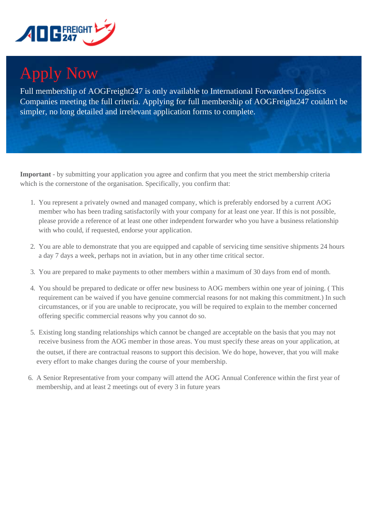

## Apply Now

Full membership of AOGFreight247 is only available to International Forwarders/Logistics Companies meeting the full criteria. Applying for full membership of AOGFreight247 couldn't be simpler, no long detailed and irrelevant application forms to complete.

**Important** - by submitting your application you agree and confirm that you meet the strict membership criteria which is the cornerstone of the organisation. Specifically, you confirm that:

- 1. You represent a privately owned and managed company, which is preferably endorsed by a current AOG member who has been trading satisfactorily with your company for at least one year. If this is not possible, please provide a reference of at least one other independent forwarder who you have a business relationship with who could, if requested, endorse your application.
- 2. You are able to demonstrate that you are equipped and capable of servicing time sensitive shipments 24 hours a day 7 days a week, perhaps not in aviation, but in any other time critical sector.
- 3. You are prepared to make payments to other members within a maximum of 30 days from end of month.
- 4. You should be prepared to dedicate or offer new business to AOG members within one year of joining. ( This requirement can be waived if you have genuine commercial reasons for not making this commitment.) In such circumstances, or if you are unable to reciprocate, you will be required to explain to the member concerned offering specific commercial reasons why you cannot do so.
- 5. Existing long standing relationships which cannot be changed are acceptable on the basis that you may not receive business from the AOG member in those areas. You must specify these areas on your application, at the outset, if there are contractual reasons to support this decision. We do hope, however, that you will make every effort to make changes during the course of your membership.
- 6. A Senior Representative from your company will attend the AOG Annual Conference within the first year of membership, and at least 2 meetings out of every 3 in future years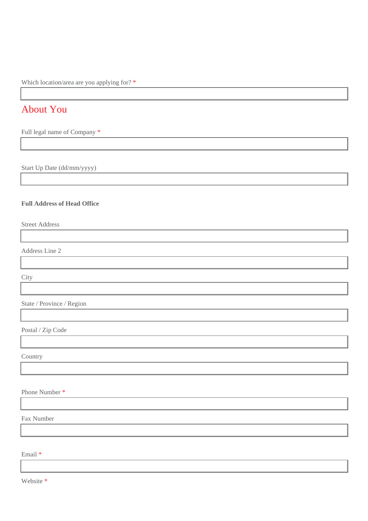Which location/area are you applying for? \*

## About You

Full legal name of Company \*

Start Up Date (dd/mm/yyyy)

## **Full Address of Head Office**

Street Address

Address Line 2

**City** 

State / Province / Region

Postal / Zip Code

Country

Phone Number \*

Fax Number

Email \*

Website \*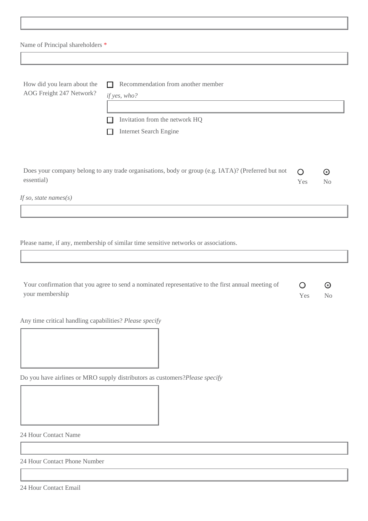| Name of Principal shareholders * |  |  |
|----------------------------------|--|--|
|----------------------------------|--|--|

| How did you learn about the<br>AOG Freight 247 Network? | $\Box$ Recommendation from another member<br>if yes, who? |  |  |
|---------------------------------------------------------|-----------------------------------------------------------|--|--|
|                                                         | Invitation from the network HQ                            |  |  |
|                                                         | <b>Internet Search Engine</b><br>$\Box$                   |  |  |
|                                                         |                                                           |  |  |
|                                                         | .                                                         |  |  |

| Does your company belong to any trade organisations, body or group (e.g. IATA)? (Preferred but not $\bigcirc$ |      |                |
|---------------------------------------------------------------------------------------------------------------|------|----------------|
| essential)                                                                                                    | Yes. | N <sub>0</sub> |
|                                                                                                               |      |                |

*If so, state names(s)*

Please name, if any, membership of similar time sensitive networks or associations.

| Your confirmation that you agree to send a nominated representative to the first annual meeting of |      |      |
|----------------------------------------------------------------------------------------------------|------|------|
| your membership                                                                                    | Yes. | - No |

Any time critical handling capabilities? *Please specify*

Do you have airlines or MRO supply distributors as customers?*Please specify*

24 Hour Contact Name

24 Hour Contact Phone Number